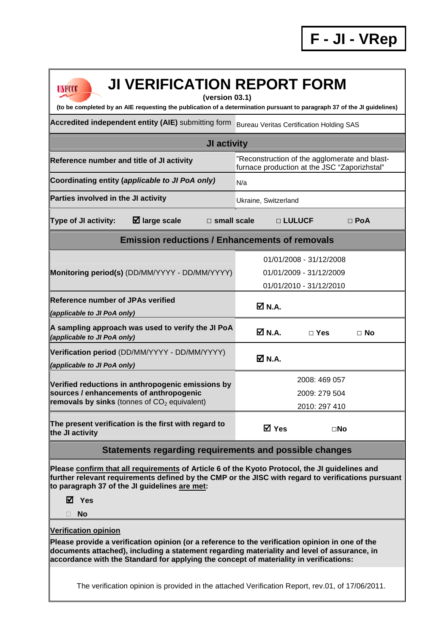| <b>JI VERIFICATION REPORT FORM</b><br><b>UNFCCC</b><br>(version 03.1)                                                                                                                                                                                                                                                   |                                                                                               |              |            |  |  |  |  |
|-------------------------------------------------------------------------------------------------------------------------------------------------------------------------------------------------------------------------------------------------------------------------------------------------------------------------|-----------------------------------------------------------------------------------------------|--------------|------------|--|--|--|--|
| (to be completed by an AIE requesting the publication of a determination pursuant to paragraph 37 of the JI guidelines)                                                                                                                                                                                                 |                                                                                               |              |            |  |  |  |  |
| Accredited independent entity (AIE) submitting form<br><b>Bureau Veritas Certification Holding SAS</b>                                                                                                                                                                                                                  |                                                                                               |              |            |  |  |  |  |
| <b>JI activity</b>                                                                                                                                                                                                                                                                                                      |                                                                                               |              |            |  |  |  |  |
| Reference number and title of JI activity                                                                                                                                                                                                                                                                               | "Reconstruction of the agglomerate and blast-<br>furnace production at the JSC "Zaporizhstal" |              |            |  |  |  |  |
| Coordinating entity (applicable to JI PoA only)                                                                                                                                                                                                                                                                         | N/a                                                                                           |              |            |  |  |  |  |
| Parties involved in the JI activity                                                                                                                                                                                                                                                                                     | Ukraine, Switzerland                                                                          |              |            |  |  |  |  |
| $\boxtimes$ large scale<br>Type of JI activity:<br>$\square$ small scale                                                                                                                                                                                                                                                |                                                                                               | □ LULUCF     | $\Box$ PoA |  |  |  |  |
| <b>Emission reductions / Enhancements of removals</b>                                                                                                                                                                                                                                                                   |                                                                                               |              |            |  |  |  |  |
| Monitoring period(s) (DD/MM/YYYY - DD/MM/YYYY)                                                                                                                                                                                                                                                                          | 01/01/2008 - 31/12/2008<br>01/01/2009 - 31/12/2009<br>01/01/2010 - 31/12/2010                 |              |            |  |  |  |  |
| <b>Reference number of JPAs verified</b><br>(applicable to JI PoA only)                                                                                                                                                                                                                                                 | ØN.A.                                                                                         |              |            |  |  |  |  |
| A sampling approach was used to verify the JI PoA<br>(applicable to JI PoA only)                                                                                                                                                                                                                                        | <b>Ø</b> N.A.                                                                                 | $\Box$ Yes   | $\Box$ No  |  |  |  |  |
| Verification period (DD/MM/YYYY - DD/MM/YYYY)<br>(applicable to JI PoA only)                                                                                                                                                                                                                                            | ØN.A.                                                                                         |              |            |  |  |  |  |
| Verified reductions in anthropogenic emissions by<br>sources / enhancements of anthropogenic<br>removals by sinks (tonnes of $CO2$ equivalent)                                                                                                                                                                          | 2008: 469 057<br>2009: 279 504<br>2010: 297 410                                               |              |            |  |  |  |  |
| The present verification is the first with regard to<br>the JI activity                                                                                                                                                                                                                                                 | <b>☑</b> Yes                                                                                  | $\square$ No |            |  |  |  |  |
| Statements regarding requirements and possible changes                                                                                                                                                                                                                                                                  |                                                                                               |              |            |  |  |  |  |
| Please confirm that all requirements of Article 6 of the Kyoto Protocol, the JI guidelines and<br>further relevant requirements defined by the CMP or the JISC with regard to verifications pursuant<br>to paragraph 37 of the JI guidelines are met:<br><b>☑</b> Yes<br><b>No</b>                                      |                                                                                               |              |            |  |  |  |  |
|                                                                                                                                                                                                                                                                                                                         |                                                                                               |              |            |  |  |  |  |
| <b>Verification opinion</b><br>Please provide a verification opinion (or a reference to the verification opinion in one of the<br>documents attached), including a statement regarding materiality and level of assurance, in<br>accordance with the Standard for applying the concept of materiality in verifications: |                                                                                               |              |            |  |  |  |  |
| The verification opinion is provided in the attached Verification Report, rev.01, of 17/06/2011.                                                                                                                                                                                                                        |                                                                                               |              |            |  |  |  |  |